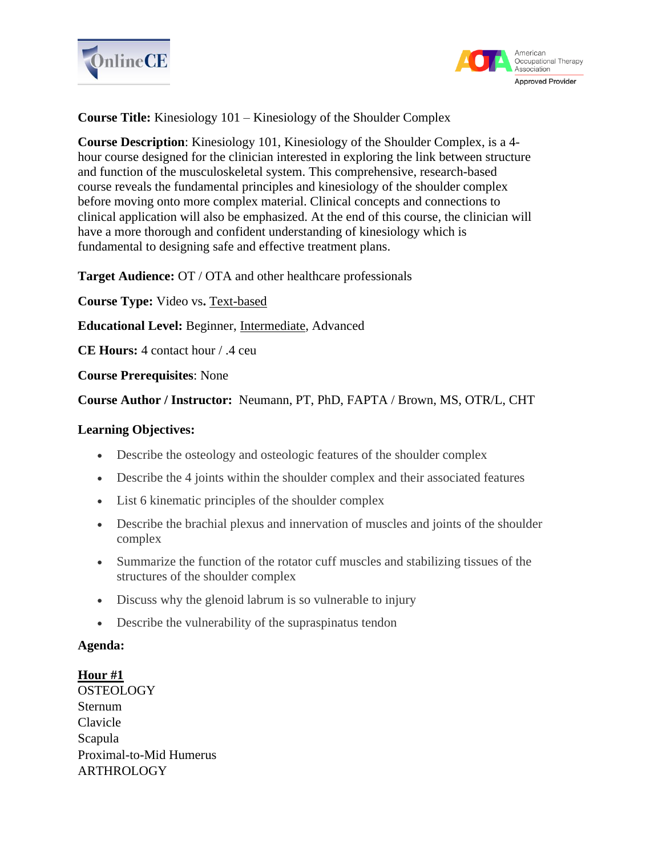



**Course Title:** Kinesiology 101 – Kinesiology of the Shoulder Complex

**Course Description**: Kinesiology 101, Kinesiology of the Shoulder Complex, is a 4 hour course designed for the clinician interested in exploring the link between structure and function of the musculoskeletal system. This comprehensive, research-based course reveals the fundamental principles and kinesiology of the shoulder complex before moving onto more complex material. Clinical concepts and connections to clinical application will also be emphasized. At the end of this course, the clinician will have a more thorough and confident understanding of kinesiology which is fundamental to designing safe and effective treatment plans.

**Target Audience:** OT / OTA and other healthcare professionals

**Course Type:** Video vs**.** Text-based

**Educational Level:** Beginner, Intermediate, Advanced

**CE Hours:** 4 contact hour / .4 ceu

**Course Prerequisites**: None

**Course Author / Instructor:** Neumann, PT, PhD, FAPTA / Brown, MS, OTR/L, CHT

#### **Learning Objectives:**

- Describe the osteology and osteologic features of the shoulder complex
- Describe the 4 joints within the shoulder complex and their associated features
- List 6 kinematic principles of the shoulder complex
- Describe the brachial plexus and innervation of muscles and joints of the shoulder complex
- Summarize the function of the rotator cuff muscles and stabilizing tissues of the structures of the shoulder complex
- Discuss why the glenoid labrum is so vulnerable to injury
- Describe the vulnerability of the supraspinatus tendon

#### **Agenda:**

**Hour #1 OSTEOLOGY** Sternum Clavicle Scapula Proximal-to-Mid Humerus ARTHROLOGY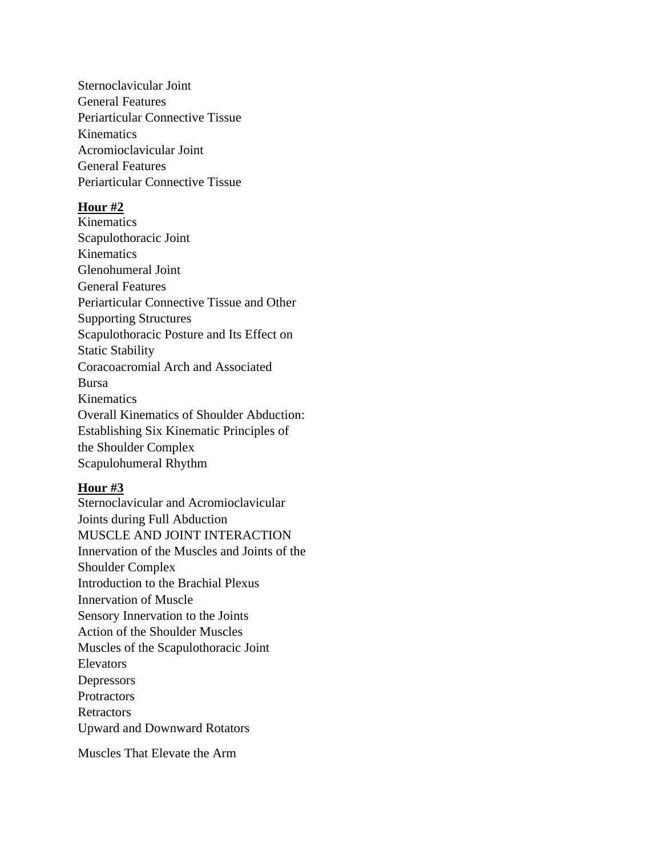Sternoclavicular Joint General Features Periarticular Connective Tissue Kinematics Acromioclavicular Joint General Features Periarticular Connective Tissue

### **Hour #2**

Kinematics Scapulothoracic Joint Kinematics Glenohumeral Joint General Features Periarticular Connective Tissue and Other Supporting Structures Scapulothoracic Posture and Its Effect on Static Stability Coracoacromial Arch and Associated Bursa Kinematics Overall Kinematics of Shoulder Abduction: Establishing Six Kinematic Principles of the Shoulder Complex Scapulohumeral Rhythm

#### **Hour #3**

Sternoclavicular and Acromioclavicular Joints during Full Abduction MUSCLE AND JOINT INTERACTION Innervation of the Muscles and Joints of the Shoulder Complex Introduction to the Brachial Plexus Innervation of Muscle Sensory Innervation to the Joints Action of the Shoulder Muscles Muscles of the Scapulothoracic Joint Elevators Depressors **Protractors Retractors** Upward and Downward Rotators

Muscles That Elevate the Arm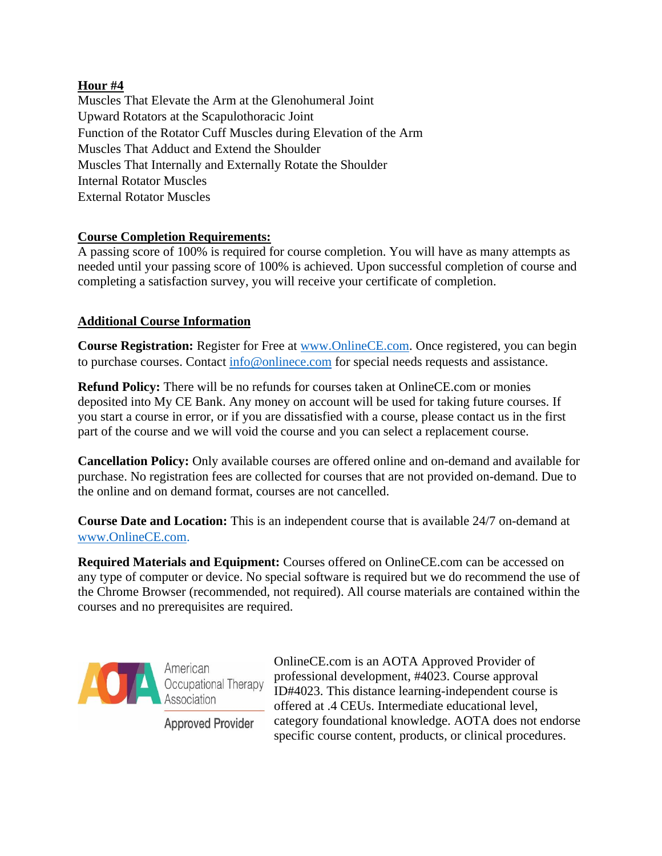# **Hour #4**

Muscles That Elevate the Arm at the Glenohumeral Joint Upward Rotators at the Scapulothoracic Joint Function of the Rotator Cuff Muscles during Elevation of the Arm Muscles That Adduct and Extend the Shoulder Muscles That Internally and Externally Rotate the Shoulder Internal Rotator Muscles External Rotator Muscles

# **Course Completion Requirements:**

A passing score of 100% is required for course completion. You will have as many attempts as needed until your passing score of 100% is achieved. Upon successful completion of course and completing a satisfaction survey, you will receive your certificate of completion.

# **Additional Course Information**

**Course Registration:** Register for Free at [www.OnlineCE.com.](http://www.onlinece.com/) Once registered, you can begin to purchase courses. Contact [info@onlinece.com](mailto:info@onlinece.com) for special needs requests and assistance.

**Refund Policy:** There will be no refunds for courses taken at OnlineCE.com or monies deposited into My CE Bank. Any money on account will be used for taking future courses. If you start a course in error, or if you are dissatisfied with a course, please contact us in the first part of the course and we will void the course and you can select a replacement course.

**Cancellation Policy:** Only available courses are offered online and on-demand and available for purchase. No registration fees are collected for courses that are not provided on-demand. Due to the online and on demand format, courses are not cancelled.

**Course Date and Location:** This is an independent course that is available 24/7 on-demand at [www.OnlineCE.com.](http://www.onlinece.com/)

**Required Materials and Equipment:** Courses offered on OnlineCE.com can be accessed on any type of computer or device. No special software is required but we do recommend the use of the Chrome Browser (recommended, not required). All course materials are contained within the courses and no prerequisites are required.



American Occupational Therapy Association

ID#4023. This distance learning-independent course is offered at .4 CEUs. Intermediate educational level, category foundational knowledge. AOTA does not endorse **Approved Provider** specific course content, products, or clinical procedures.

OnlineCE.com is an AOTA Approved Provider of professional development, #4023. Course approval